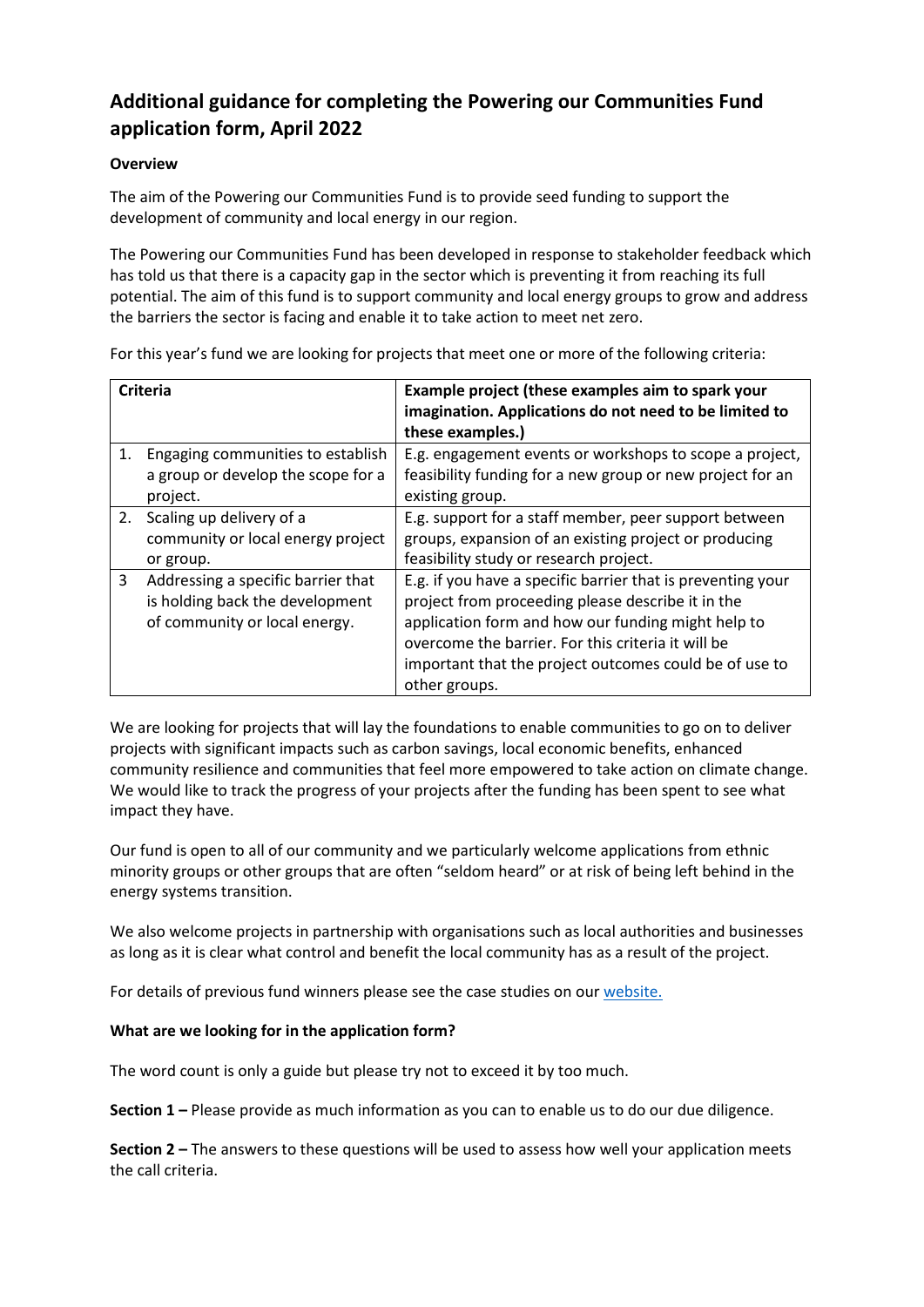## **Additional guidance for completing the Powering our Communities Fund application form, April 2022**

## **Overview**

The aim of the Powering our Communities Fund is to provide seed funding to support the development of community and local energy in our region.

The Powering our Communities Fund has been developed in response to stakeholder feedback which has told us that there is a capacity gap in the sector which is preventing it from reaching its full potential. The aim of this fund is to support community and local energy groups to grow and address the barriers the sector is facing and enable it to take action to meet net zero.

**Criteria Example project (these examples aim to spark your imagination. Applications do not need to be limited to these examples.)** 1. Engaging communities to establish a group or develop the scope for a project. E.g. engagement events or workshops to scope a project, feasibility funding for a new group or new project for an existing group. 2. Scaling up delivery of a community or local energy project or group. E.g. support for a staff member, peer support between groups, expansion of an existing project or producing feasibility study or research project. 3 Addressing a specific barrier that is holding back the development of community or local energy. E.g. if you have a specific barrier that is preventing your project from proceeding please describe it in the application form and how our funding might help to overcome the barrier. For this criteria it will be important that the project outcomes could be of use to other groups.

For this year's fund we are looking for projects that meet one or more of the following criteria:

We are looking for projects that will lay the foundations to enable communities to go on to deliver projects with significant impacts such as carbon savings, local economic benefits, enhanced community resilience and communities that feel more empowered to take action on climate change. We would like to track the progress of your projects after the funding has been spent to see what impact they have.

Our fund is open to all of our community and we particularly welcome applications from ethnic minority groups or other groups that are often "seldom heard" or at risk of being left behind in the energy systems transition.

We also welcome projects in partnership with organisations such as local authorities and businesses as long as it is clear what control and benefit the local community has as a result of the project.

For details of previous fund winners please see the case studies on our [website.](https://www.enwl.co.uk/zero-carbon/community-and-local-energy/what-is-community-and-local-energy/case-studies/)

## **What are we looking for in the application form?**

The word count is only a guide but please try not to exceed it by too much.

**Section 1 –** Please provide as much information as you can to enable us to do our due diligence.

**Section 2 –** The answers to these questions will be used to assess how well your application meets the call criteria.